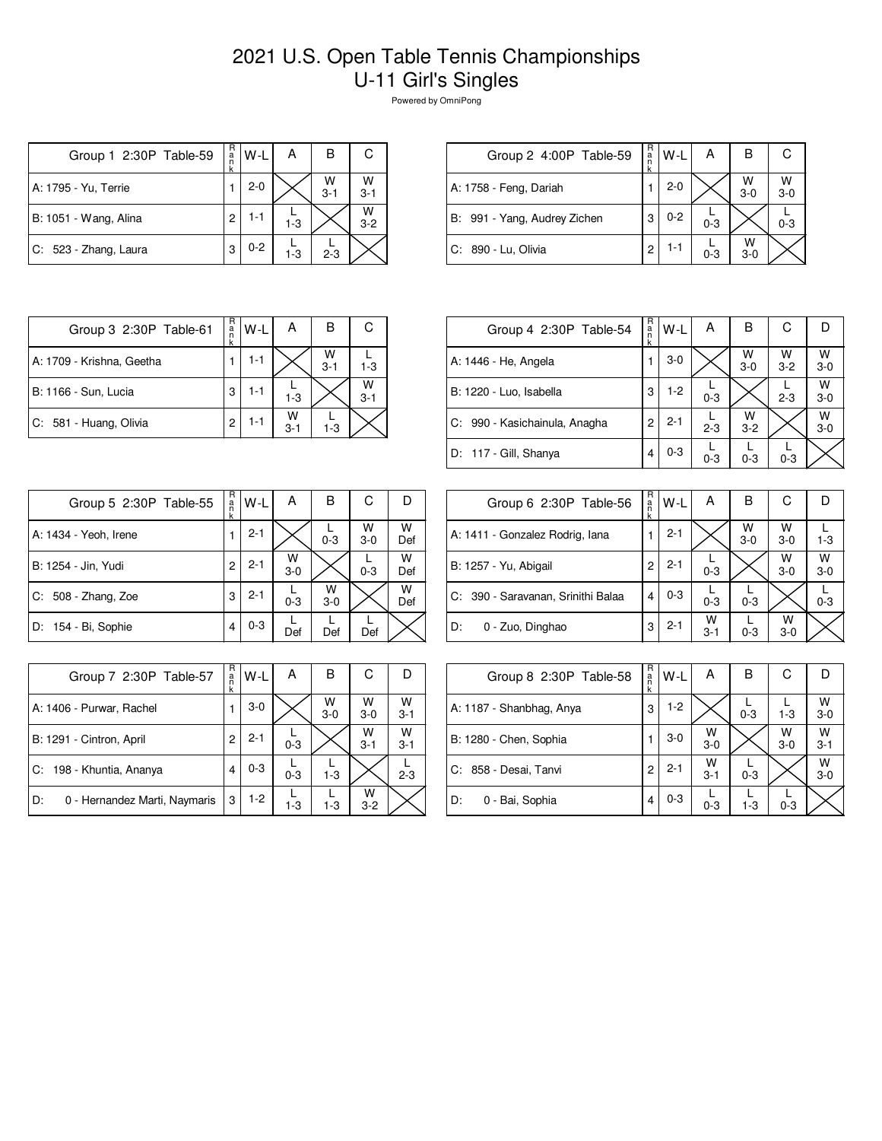## 2021 U.S. Open Table Tennis Championships U-11 Girl's Singles

Powered by OmniPong

| Group 1 2:30P Table-59 | R<br>a<br>n<br>k | W-L     | Α       | в            | С            |
|------------------------|------------------|---------|---------|--------------|--------------|
| A: 1795 - Yu, Terrie   |                  | $2 - 0$ |         | W<br>$3 - 1$ | W<br>$3 - 1$ |
| B: 1051 - Wang, Alina  | 2                | $1 - 1$ | $1 - 3$ |              | W<br>$3 - 2$ |
| C: 523 - Zhang, Laura  | 3                | $0 - 2$ | $1-3$   | $2 - 3$      |              |

| Group 2 4:00P Table-59       | R<br>a<br>n | $W-L$   | А       | в            |              |
|------------------------------|-------------|---------|---------|--------------|--------------|
| A: 1758 - Feng, Dariah       |             | $2 - 0$ |         | W<br>$3 - 0$ | W<br>$3 - 0$ |
| B: 991 - Yang, Audrey Zichen | З           | $0 - 2$ | $0 - 3$ |              | $0 - 3$      |
| C: 890 - Lu, Olivia          | 2           | 1-1     | $0 - 3$ | W<br>$3-0$   |              |

| Group 3 2:30P Table-61    | R<br>a<br>n | W-I     | А            | в            | С            |
|---------------------------|-------------|---------|--------------|--------------|--------------|
| A: 1709 - Krishna, Geetha |             | 1-1     |              | W<br>$3 - 1$ | 1-3          |
| B: 1166 - Sun, Lucia      | 3           | 1-1     | $1-3$        |              | W<br>$3 - 1$ |
| C: 581 - Huang, Olivia    | 2           | $1 - 1$ | W<br>$3 - 1$ | $1 - 3$      |              |

| Group 4 2:30P Table-54        | R<br>a<br>k | $W-L$   | А       | в            | С            | D          |
|-------------------------------|-------------|---------|---------|--------------|--------------|------------|
| A: 1446 - He, Angela          |             | $3-0$   |         | W<br>$3-0$   | W<br>$3 - 2$ | W<br>$3-0$ |
| B: 1220 - Luo, Isabella       | 3           | $1-2$   | $0 - 3$ |              | $2 - 3$      | W<br>$3-0$ |
| C: 990 - Kasichainula, Anagha | 2           | $2 - 1$ | $2 - 3$ | w<br>$3 - 2$ |              | W<br>$3-0$ |
| D: 117 - Gill, Shanya         | 4           | $0 - 3$ | $0 - 3$ | $0 - 3$      | $0 - 3$      |            |

| Group 5 2:30P Table-55 | R<br>a<br>n<br>k | W-L     | А          | в            | С          |          |
|------------------------|------------------|---------|------------|--------------|------------|----------|
| A: 1434 - Yeoh, Irene  | 1                | $2 - 1$ |            | $0 - 3$      | w<br>$3-0$ | W<br>Def |
| B: 1254 - Jin, Yudi    | 2                | $2 - 1$ | W<br>$3-0$ |              | $0 - 3$    | W<br>Def |
| $C: 508 - Zhang, Zoe$  | 3                | $2 - 1$ | $0 - 3$    | W<br>$3 - 0$ |            | W<br>Def |
| D: 154 - Bi, Sophie    | 4                | $0 - 3$ | Def        | Def          | Def        |          |

| Group 6 2:30P Table-56             | R<br>a<br>n<br>k | W-L     | А            | в            | С            | Ð          |
|------------------------------------|------------------|---------|--------------|--------------|--------------|------------|
| A: 1411 - Gonzalez Rodrig, Iana    |                  | $2 - 1$ |              | W<br>$3 - 0$ | W<br>$3-0$   | $1 - 3$    |
| B: 1257 - Yu, Abigail              | 2                | $2 - 1$ | $0 - 3$      |              | W<br>$3-0$   | W<br>$3-0$ |
| C: 390 - Saravanan, Srinithi Balaa | 4                | $0 - 3$ | $0 - 3$      | $0 - 3$      |              | $0 - 3$    |
| ID:<br>0 - Zuo, Dinghao            | 3                | $2 - 1$ | W<br>$3 - 1$ | $0 - 3$      | W<br>$3 - 0$ |            |

| Group 7 2:30P Table-57              | R<br>a<br>k | W-L     | А       | В            | С            |              |
|-------------------------------------|-------------|---------|---------|--------------|--------------|--------------|
| A: 1406 - Purwar, Rachel            |             | $3-0$   |         | W<br>$3 - 0$ | W<br>$3 - 0$ | W<br>$3 - 1$ |
| B: 1291 - Cintron, April            | 2           | $2 - 1$ | $0 - 3$ |              | W<br>$3 - 1$ | W<br>$3 - 1$ |
| C: 198 - Khuntia, Ananya            | 4           | $0 - 3$ | $0 - 3$ | $1 - 3$      |              | $2 - 3$      |
| D:<br>0 - Hernandez Marti, Naymaris | 3           | $1-2$   | $1 - 3$ | $1 - 3$      | w<br>$3-2$   |              |

| Group 8 2:30P Table-58   | R<br>a<br>n<br>k | $W-L$   | А            | B       | С          |                    |
|--------------------------|------------------|---------|--------------|---------|------------|--------------------|
| A: 1187 - Shanbhag, Anya | 3                | $1-2$   |              | $0 - 3$ | $1 - 3$    | $W$ <sub>3-0</sub> |
| B: 1280 - Chen, Sophia   |                  | $3-0$   | W<br>$3-0$   |         | w<br>$3-0$ | W<br>$3 - 1$       |
| C: 858 - Desai, Tanvi    | 2                | $2 - 1$ | W<br>$3 - 1$ | $0 - 3$ |            | W<br>$3 - 0$       |
| D:<br>0 - Bai, Sophia    | 4                | $0 - 3$ | $0 - 3$      | $1 - 3$ | $0 - 3$    |                    |